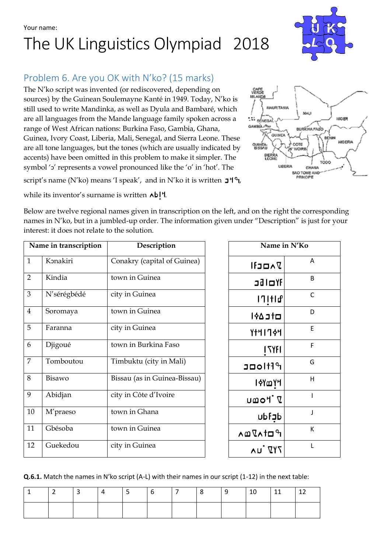# The UK Linguistics Olympiad 2018



### Problem 6. Are you OK with N'ko? (15 marks)

The N'ko script was invented (or rediscovered, depending on sources) by the Guinean Soulemayne Kanté in 1949. Today, N'ko is still used to write Mandinka, as well as Dyula and Bambaré, which are all languages from the Mande language family spoken across a range of West African nations: Burkina Faso, Gambia, Ghana, Guinea, Ivory Coast, Liberia, Mali, Senegal, and Sierra Leone. These are all tone languages, but the tones (which are usually indicated by accents) have been omitted in this problem to make it simpler. The symbol 'ɔ' represents a vowel pronounced like the 'o' in 'hot'. The



script's name (N'ko) means 'I speak', and in N'ko it is written  $1^4$ ,

while its inventor's surname is written  $\wedge \mathsf{b}$ !

Below are twelve regional names given in transcription on the left, and on the right the corresponding names in N'ko, but in a jumbled-up order. The information given under "Description" is just for your interest: it does not relate to the solution.

|                | Name in transcription | Description                  |                | Name in N'Ko |
|----------------|-----------------------|------------------------------|----------------|--------------|
| $\mathbf{1}$   | Konakiri              | Conakry (capital of Guinea)  | $\sqrt{2}$ ADC | A            |
| 2              | Kindia                | town in Guinea               | JJIDYF         | B            |
| 3              | N'sérégbédé           | city in Guinea               | $17$ $ 11$ d   | $\mathsf{C}$ |
| $\overline{4}$ | Soromaya              | town in Guinea               | صاد ۱۵۵        | D            |
| 5              | Faranna               | city in Guinea               | 1111741        | E            |
| 6              | Djigoué               | town in Burkina Faso         | <b>ITYFI</b>   | F            |
| 7              | Tomboutou             | Timbuktu (city in Mali)      | $P$ Ftloac     | G            |
| 8              | Bisawo                | Bissau (as in Guinea-Bissau) | <b>19YmY4</b>  | H            |
| 9              | Abidjan               | city in Côte d'Ivoire        | $J$ $H$ omu    | $\mathbf{I}$ |
| 10             | M'praeso              | town in Ghana                | uplap          | $\mathsf J$  |
| 11             | Gbésoba               | town in Guinea               | $A^{\omega}$   | К            |
| 12             | Guekedou              | city in Guinea               | 7YD UA         | $\mathsf{L}$ |

| Name in N'Ko               |   |  |  |  |  |  |  |  |  |
|----------------------------|---|--|--|--|--|--|--|--|--|
| $\nabla \wedge \mathbf{C}$ | Α |  |  |  |  |  |  |  |  |
| <b>TELEC</b>               | B |  |  |  |  |  |  |  |  |
| 171t1d                     | C |  |  |  |  |  |  |  |  |
| ص†د ۱۵۵                    | D |  |  |  |  |  |  |  |  |
| Yt41744                    | F |  |  |  |  |  |  |  |  |
| 17YF1                      | F |  |  |  |  |  |  |  |  |
| <b>Pftloac</b>             | G |  |  |  |  |  |  |  |  |
| ۱ <i>Ϟ</i> ΥωΥΗ            | Н |  |  |  |  |  |  |  |  |
| <b>J</b> Towu              | I |  |  |  |  |  |  |  |  |
| ubfab                      | J |  |  |  |  |  |  |  |  |
| ᠕ <b><i></i></b> ᡗ᠕ᡏᄆᠲ     | K |  |  |  |  |  |  |  |  |
| 7Y <sub>7</sub> U          | L |  |  |  |  |  |  |  |  |

**Q.6.1.** Match the names in N'ko script (A-L) with their names in our script (1-12) in the next table:

| $\mathcal{L}$ | $\overline{\phantom{a}}$ 3 | $\vert 4 \vert$ | $\overline{5}$ | $\overline{6}$ | $5 - 7 - 16$ | 8 | $\overline{9}$ | $\vert$ 11 |  |
|---------------|----------------------------|-----------------|----------------|----------------|--------------|---|----------------|------------|--|
|               |                            |                 |                |                |              |   |                |            |  |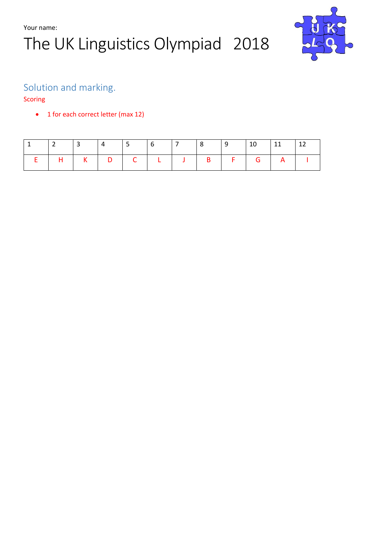# The UK Linguistics Olympiad 2018



## Solution and marking.

#### Scoring

• 1 for each correct letter (max 12)

|    |  |  | 5   6   7   8   9                 |  | $\begin{array}{ c c c c c } \hline 10 & 11 \end{array}$ | $\vert$ 12 |  |
|----|--|--|-----------------------------------|--|---------------------------------------------------------|------------|--|
| H. |  |  | K   D   C   L   J   B   F   G   A |  |                                                         |            |  |